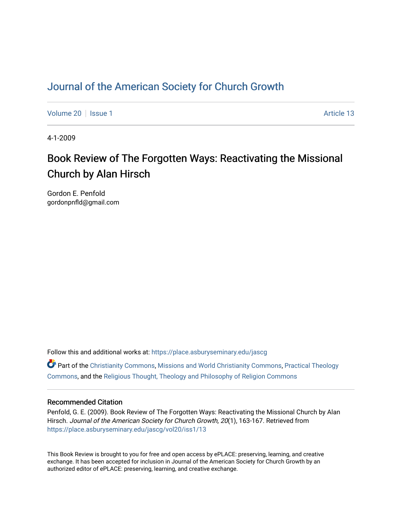### [Journal of the American Society for Church Growth](https://place.asburyseminary.edu/jascg)

[Volume 20](https://place.asburyseminary.edu/jascg/vol20) | [Issue 1](https://place.asburyseminary.edu/jascg/vol20/iss1) Article 13

4-1-2009

# Book Review of The Forgotten Ways: Reactivating the Missional Church by Alan Hirsch

Gordon E. Penfold gordonpnfld@gmail.com

Follow this and additional works at: [https://place.asburyseminary.edu/jascg](https://place.asburyseminary.edu/jascg?utm_source=place.asburyseminary.edu%2Fjascg%2Fvol20%2Fiss1%2F13&utm_medium=PDF&utm_campaign=PDFCoverPages)

 $\bullet$  Part of the [Christianity Commons,](https://network.bepress.com/hgg/discipline/1181?utm_source=place.asburyseminary.edu%2Fjascg%2Fvol20%2Fiss1%2F13&utm_medium=PDF&utm_campaign=PDFCoverPages) [Missions and World Christianity Commons](https://network.bepress.com/hgg/discipline/1187?utm_source=place.asburyseminary.edu%2Fjascg%2Fvol20%2Fiss1%2F13&utm_medium=PDF&utm_campaign=PDFCoverPages), Practical Theology [Commons](https://network.bepress.com/hgg/discipline/1186?utm_source=place.asburyseminary.edu%2Fjascg%2Fvol20%2Fiss1%2F13&utm_medium=PDF&utm_campaign=PDFCoverPages), and the [Religious Thought, Theology and Philosophy of Religion Commons](https://network.bepress.com/hgg/discipline/544?utm_source=place.asburyseminary.edu%2Fjascg%2Fvol20%2Fiss1%2F13&utm_medium=PDF&utm_campaign=PDFCoverPages) 

### Recommended Citation

Penfold, G. E. (2009). Book Review of The Forgotten Ways: Reactivating the Missional Church by Alan Hirsch. Journal of the American Society for Church Growth, 20(1), 163-167. Retrieved from [https://place.asburyseminary.edu/jascg/vol20/iss1/13](https://place.asburyseminary.edu/jascg/vol20/iss1/13?utm_source=place.asburyseminary.edu%2Fjascg%2Fvol20%2Fiss1%2F13&utm_medium=PDF&utm_campaign=PDFCoverPages)

This Book Review is brought to you for free and open access by ePLACE: preserving, learning, and creative exchange. It has been accepted for inclusion in Journal of the American Society for Church Growth by an authorized editor of ePLACE: preserving, learning, and creative exchange.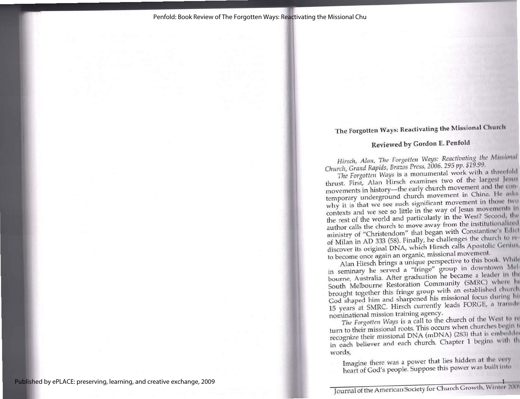## The Forgotten Ways: Reactivating the Missional Chureh

### Reviewed by Gordon E. Penfold

Hirsch, Alan, The Forgotten Ways: Reactivating the Missional Church, Grand Rapids, Brazos Press, 2006. 295 pp. \$19.99.

The Forgotten Ways is a monumental work with a threefold thrust. First, Alan Hirsch examines two of the largest Jesus movements in history—the early church movement and the con-<br>temporary underground church movement in China. He asks<br>why it is that we see such significant movement in those two<br>contexts and we see so little in the way of J author calls the church to move away from the institutionalized<br>ministry of "Christendom" that began with Constantine's Edict of Milan in AD 333 (58). Finally, he challenges the church to rediscover its original DNA, which Hirsch calls Apostolic Genius,

to become once again an organic, missional movement. Alan Hirsch brings a unique perspective to this book. While bourne, Australia. After graduation he became a leader in the South Melbourne Restoration Community (SMRC) where he brought together this fringe group with an established church God shaped him and sharpened his missional f

recognize their missional DNA (mDNA) (283) that is embeddee in each believer and each church. Chapter 1 begins with th words,

Imagine there was a power that lies hidden at the very heart of God's people. Suppose this power was built inte

Journal of the American Society for Church Growth, Winter 200" 1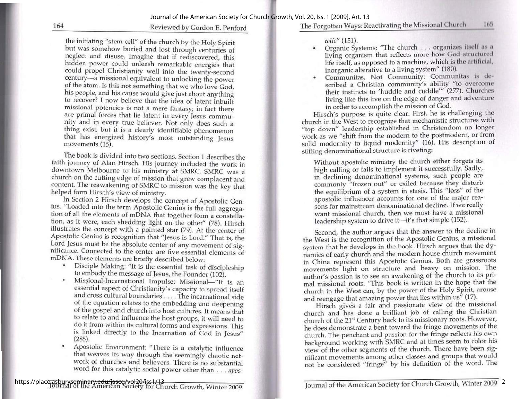#### 164 Reviewed by Gordon E. Penford

the initiating "stem cell" of the church by the Holy Spirit but was somehow buried and lost through centuries of neglect and disuse. Imagine that if rediscovered, this hidden power could unleash remarkable energies that co

The book is divided into two sections. Section 1 describes the faith journey of Alan Hirsch. His journey included the work in downtown Melbourne to his ministry at SMRC. SMRC was a content. The reawakening of SMRC to miss

- 
- 
- Apostolic Environment: "There is a catalytic influence \* Apostolic Environment: "There is a catalytic influence that weaves its way through the seemingly chaotic net- work of churches and believers. There is no substantial word for this catalytic social power other than . . . *apos*

The Forgotten Ways: Reactivating the Missional Church 165

- tolic" (151).<br>• Organic Systems: "The church . . . organizes itself as a living organism that reflects more how God structured life itself, as opposed to a machine, which is the artificial, inorganic alterative to a living system" (180).
- \* Communitas, Not Community: Communitas is de- scribed a Christian community's ability "to overcome their instincts to 'huddle and cuddle'" (277). Churches scribed a Christian community's ability "to overcome<br>their instincts to 'huddle and cuddle'" (277). Churches<br>living like this live on the edge of danger and adventure<br>in order to accomplish the mission of God.<br>Hirsch's pur

work as we "shift from the modern to the postmodern, or from solid modernity to liquid modernity" (16). His description of stifling denominational structure is riveting:

Without apostolic ministry the church either forgets its high calling or fails to implement it successfully. Sadly, in declining denominational systems, such people are commonly "frozen out" or exiled because they disturb the equilibrium of a system in stasis. This "loss" of the apostolic influencer accounts for one of the major reasons for mainstream denominational decline. If we really want missional church, then we must have a missional leadership system to drive it—it's that simple (152).

Second, the author argues that the answer to the decline in<br>the West is the recognition of the Apostolic Genius, a missional<br>system that he develops in the book. Hirsch argues that the dy-<br>namics of early church and the mo and reengage that amazing power that lies within us" (17).

Hirsch gives a fair and passionate view of the missional church and has done a brilliant job of calling the Christian<br>church of the 21<sup>st</sup> Century back to its missionary roots. However,<br>he does demonstrate a bent toward the fringe movements of the church, The penchant and passion for the fringe reflects his own background working with SMRC and at times seem to color his view of the other segments of the church. There have been sigview of the other segments of the church. There have been significant movements among other classes and groups that would nificant movements among other classes and groups that we<br>not be considered "fringe" by his definition of the word. The